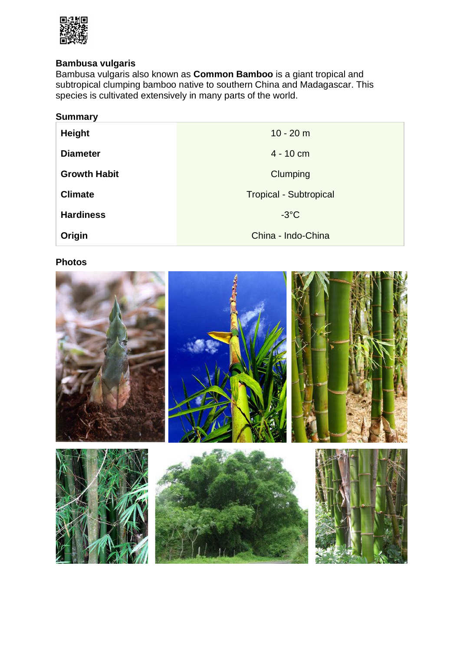

# **Bambusa vulgaris**

Bambusa vulgaris also known as **Common Bamboo** is a giant tropical and subtropical clumping bamboo native to southern China and Madagascar. This species is cultivated extensively in many parts of the world.

| <b>Summary</b>      |                               |
|---------------------|-------------------------------|
| <b>Height</b>       | $10 - 20$ m                   |
| <b>Diameter</b>     | $4 - 10$ cm                   |
| <b>Growth Habit</b> | Clumping                      |
| <b>Climate</b>      | <b>Tropical - Subtropical</b> |
| <b>Hardiness</b>    | $-3$ °C                       |
| Origin              | China - Indo-China            |

#### **Photos**

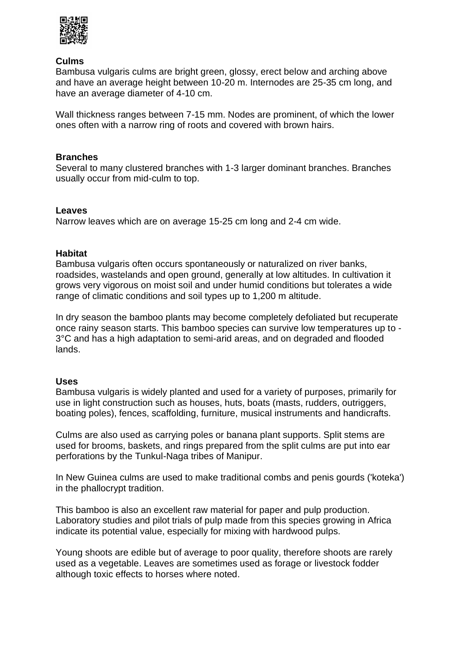

## **Culms**

Bambusa vulgaris culms are bright green, glossy, erect below and arching above and have an average height between 10-20 m. Internodes are 25-35 cm long, and have an average diameter of 4-10 cm.

Wall thickness ranges between 7-15 mm. Nodes are prominent, of which the lower ones often with a narrow ring of roots and covered with brown hairs.

## **Branches**

Several to many clustered branches with 1-3 larger dominant branches. Branches usually occur from mid-culm to top.

## **Leaves**

Narrow leaves which are on average 15-25 cm long and 2-4 cm wide.

#### **Habitat**

Bambusa vulgaris often occurs spontaneously or naturalized on river banks, roadsides, wastelands and open ground, generally at low altitudes. In cultivation it grows very vigorous on moist soil and under humid conditions but tolerates a wide range of climatic conditions and soil types up to 1,200 m altitude.

In dry season the bamboo plants may become completely defoliated but recuperate once rainy season starts. This bamboo species can survive low temperatures up to - 3°C and has a high adaptation to semi-arid areas, and on degraded and flooded lands.

## **Uses**

Bambusa vulgaris is widely planted and used for a variety of purposes, primarily for use in light construction such as houses, huts, boats (masts, rudders, outriggers, boating poles), fences, scaffolding, furniture, musical instruments and handicrafts.

Culms are also used as carrying poles or banana plant supports. Split stems are used for brooms, baskets, and rings prepared from the split culms are put into ear perforations by the Tunkul-Naga tribes of Manipur.

In New Guinea culms are used to make traditional combs and penis gourds ('koteka') in the phallocrypt tradition.

This bamboo is also an excellent raw material for paper and pulp production. Laboratory studies and pilot trials of pulp made from this species growing in Africa indicate its potential value, especially for mixing with hardwood pulps.

Young shoots are edible but of average to poor quality, therefore shoots are rarely used as a vegetable. Leaves are sometimes used as forage or livestock fodder although toxic effects to horses where noted.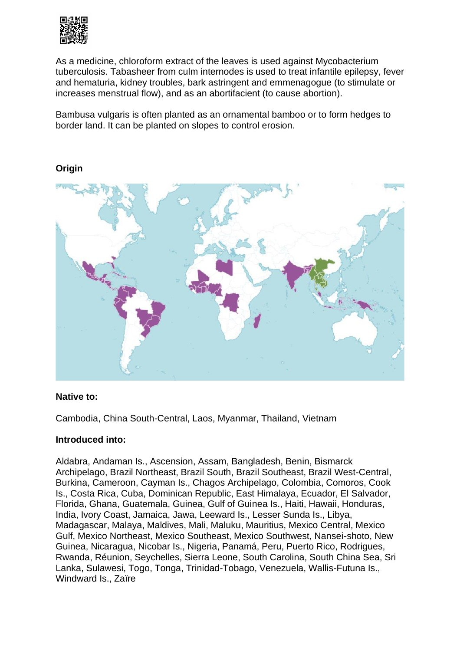

As a medicine, chloroform extract of the leaves is used against Mycobacterium tuberculosis. Tabasheer from culm internodes is used to treat infantile epilepsy, fever and hematuria, kidney troubles, bark astringent and emmenagogue (to stimulate or increases menstrual flow), and as an abortifacient (to cause abortion).

Bambusa vulgaris is often planted as an ornamental bamboo or to form hedges to border land. It can be planted on slopes to control erosion.



# **Origin**

# **Native to:**

Cambodia, China South-Central, Laos, Myanmar, Thailand, Vietnam

## **Introduced into:**

Aldabra, Andaman Is., Ascension, Assam, Bangladesh, Benin, Bismarck Archipelago, Brazil Northeast, Brazil South, Brazil Southeast, Brazil West-Central, Burkina, Cameroon, Cayman Is., Chagos Archipelago, Colombia, Comoros, Cook Is., Costa Rica, Cuba, Dominican Republic, East Himalaya, Ecuador, El Salvador, Florida, Ghana, Guatemala, Guinea, Gulf of Guinea Is., Haiti, Hawaii, Honduras, India, Ivory Coast, Jamaica, Jawa, Leeward Is., Lesser Sunda Is., Libya, Madagascar, Malaya, Maldives, Mali, Maluku, Mauritius, Mexico Central, Mexico Gulf, Mexico Northeast, Mexico Southeast, Mexico Southwest, Nansei-shoto, New Guinea, Nicaragua, Nicobar Is., Nigeria, Panamá, Peru, Puerto Rico, Rodrigues, Rwanda, Réunion, Seychelles, Sierra Leone, South Carolina, South China Sea, Sri Lanka, Sulawesi, Togo, Tonga, Trinidad-Tobago, Venezuela, Wallis-Futuna Is., Windward Is., Zaïre